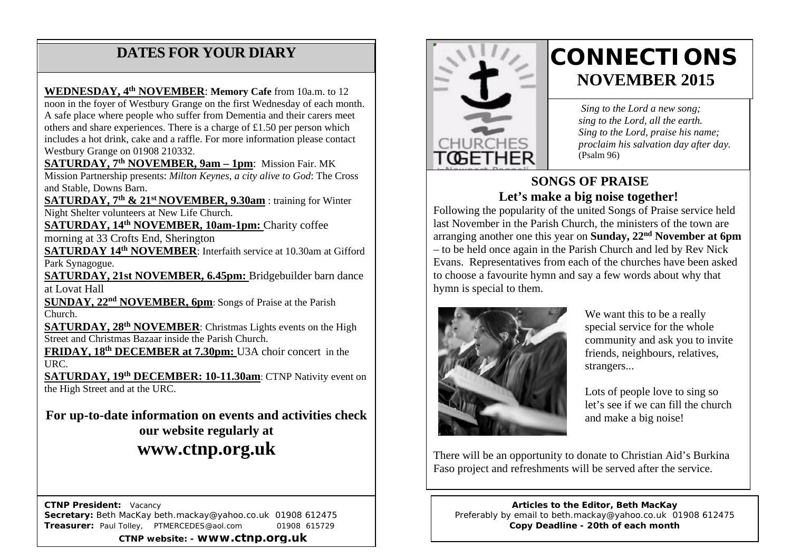# **DATES FOR YOUR DIARY**

includes a hot drink, cake and a raffle. For more information please contact<br>Wednesday of 21008.210222 A safe place where people who suffer from Dementia and their carers meet others and share experiences. There is a charge of £1.50 per person which **WEDNESDAY, 4th NOVEMBER**: **Memory Cafe** from 10a.m. to 12 noon in the foyer of Westbury Grange on the first Wednesday of each month. Westbury Grange on 01908 210332.

**SATURDAY, 7th NOVEMBER, 9am – 1pm**: Mission Fair. MK Mission Partnership presents: *Milton Keynes, a city alive to God*: The Cross and Stable, Downs Barn.

**SATURDAY, 7th & 21st NOVEMBER, 9.30am** : training for Winter Night Shelter volunteers at New Life Church.

**SATURDAY, 14th NOVEMBER, 10am-1pm:** Charity coffee

morning at 33 Crofts End, Sherington

**SATURDAY 14th NOVEMBER**: Interfaith service at 10.30am at Gifford Park Synagogue.

**SATURDAY, 21st NOVEMBER, 6.45pm: Bridgebuilder barn dance** at Lovat Hall

**SUNDAY, 22nd NOVEMBER, 6pm**: Songs of Praise at the Parish Church.

**SATURDAY, 28th NOVEMBER**: Christmas Lights events on the High Street and Christmas Bazaar inside the Parish Church.

**FRIDAY, 18th DECEMBER at 7.30pm:** U3A choir concert in the URC.

**SATURDAY, 19th DECEMBER: 10-11.30am**: CTNP Nativity event on the High Street and at the URC.

**For up-to-date information on events and activities check our website regularly at www.ctnp.org.uk**

 **CTNP President:** Vacancy **Secretary:** Beth MacKay beth.mackay@yahoo.co.uk 01908 612475 **Treasurer:** Paul Tolley, PTMERCEDES@aol.com 01908 615729 **CTNP website: - www.ctnp.org.uk**



# **CONNECTIONS NOVEMBER 2015**

*Sing to the Lord a new song; sing to the Lord, all the earth. Sing to the Lord, praise his name; proclaim his salvation day after day.* (Psalm 96)

### **SONGS OF PRAISE Let's make a big noise together!**

Following the popularity of the united Songs of Praise service held last November in the Parish Church, the ministers of the town are arranging another one this year on **Sunday, 22nd November at 6pm** – to be held once again in the Parish Church and led by Rev Nick Evans. Representatives from each of the churches have been asked to choose a favourite hymn and say a few words about why that hymn is special to them.



We want this to be a really special service for the whole community and ask you to invite friends, neighbours, relatives, strangers...

Lots of people love to sing so let's see if we can fill the church and make a big noise!

There will be an opportunity to donate to Christian Aid's Burkina Faso project and refreshments will be served after the service.

**Articles to the Editor, Beth MacKay** Preferably by email to beth.mackay@yahoo.co.uk 01908 612475 **Copy Deadline - 20th of each month**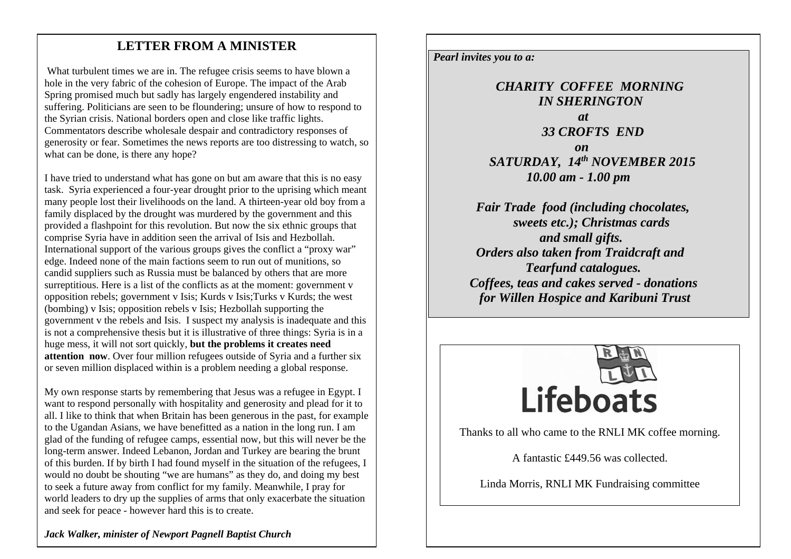## mee **LETTER FROM A MINISTER**

What turbulent times we are in. The refugee crisis seems to have blown a hole in the very fabric of the cohesion of Europe. The impact of the Arab Spring promised much but sadly has largely engendered instability and suffering. Politicians are seen to be floundering; unsure of how to respond to the Syrian crisis. National borders open and close like traffic lights. Commentators describe wholesale despair and contradictory responses of generosity or fear. Sometimes the news reports are too distressing to watch, so what can be done, is there any hope?

I have tried to understand what has gone on but am aware that this is no easy task. Syria experienced a four-year drought prior to the uprising which meant many people lost their livelihoods on the land. A thirteen-year old boy from a family displaced by the drought was murdered by the government and this provided a flashpoint for this revolution. But now the six ethnic groups that comprise Syria have in addition seen the arrival of Isis and Hezbollah. International support of the various groups gives the conflict a "proxy war" edge. Indeed none of the main factions seem to run out of munitions, so candid suppliers such as Russia must be balanced by others that are more surreptitious. Here is a list of the conflicts as at the moment: government v opposition rebels; government v Isis; Kurds v Isis;Turks v Kurds; the west (bombing) v Isis; opposition rebels v Isis; Hezbollah supporting the government v the rebels and Isis. I suspect my analysis is inadequate and this is not a comprehensive thesis but it is illustrative of three things: Syria is in a huge mess, it will not sort quickly, **but the problems it creates need attention now.** Over four million refugees outside of Syria and a further six or seven million displaced within is a problem needing a global response.

My own response starts by remembering that Jesus was a refugee in Egypt. I want to respond personally with hospitality and generosity and plead for it to all. I like to think that when Britain has been generous in the past, for example to the Ugandan Asians, we have benefitted as a nation in the long run. I am glad of the funding of refugee camps, essential now, but this will never be the long-term answer. Indeed Lebanon, Jordan and Turkey are bearing the brunt of this burden. If by birth I had found myself in the situation of the refugees, I would no doubt be shouting "we are humans" as they do, and doing my best to seek a future away from conflict for my family. Meanwhile, I pray for world leaders to dry up the supplies of arms that only exacerbate the situation and seek for peace - however hard this is to create.

*Pearl invites you to a:*

 *CHARITY COFFEE MORNING IN SHERINGTON at* and *at 33 CROFTS END on* on  $\theta$  on  $\theta$  on  $\theta$  *SATURDAY, 14th NOVEMBER 2015 10.00 am - 1.00 pm*

> *Fair Trade food (including chocolates, sweets etc.); Christmas cards and small gifts. Orders also taken from Traidcraft and Tearfund catalogues. Coffees, teas and cakes served - donations for Willen Hospice and Karibuni Trust*



Thanks to all who came to the RNLI MK coffee morning.

A fantastic £449.56 was collected.

Linda Morris, RNLI MK Fundraising committee

*Jack Walker, minister of Newport Pagnell Baptist Church*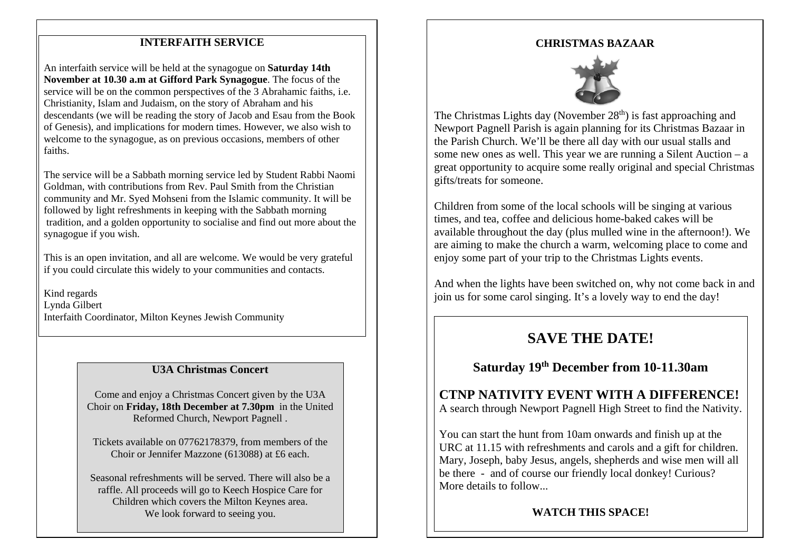#### **INTERFAITH SERVICE**

An interfaith service will be held at the synagogue on **Saturday 14th November at 10.30 a.m at Gifford Park Synagogue**. The focus of the service will be on the common perspectives of the 3 Abrahamic faiths, i.e. Christianity, Islam and Judaism, on the story of Abraham and his descendants (we will be reading the story of Jacob and Esau from the Book of Genesis), and implications for modern times. However, we also wish to welcome to the synagogue, as on previous occasions, members of other faiths.

The service will be a Sabbath morning service led by Student Rabbi Naomi Goldman, with contributions from Rev. Paul Smith from the Christian community and Mr. Syed Mohseni from the Islamic community. It will be followed by light refreshments in keeping with the Sabbath morning tradition, and a golden opportunity to socialise and find out more about the synagogue if you wish.

This is an open invitation, and all are welcome. We would be very grateful if you could circulate this widely to your communities and contacts.

Kind regards Lynda Gilbert Interfaith Coordinator, Milton Keynes Jewish Community

#### **U3A Christmas Concert**

Come and enjoy a Christmas Concert given by the U3A Choir on **Friday, 18th December at 7.30pm** in the United Reformed Church, Newport Pagnell .

Tickets available on 07762178379, from members of the Choir or Jennifer Mazzone (613088) at £6 each.

Seasonal refreshments will be served. There will also be a raffle. All proceeds will go to Keech Hospice Care for Children which covers the Milton Keynes area. We look forward to seeing you.

#### **CHRISTMAS BAZAAR**



The Christmas Lights day (November  $28<sup>th</sup>$ ) is fast approaching and Newport Pagnell Parish is again planning for its Christmas Bazaar in the Parish Church. We'll be there all day with our usual stalls and some new ones as well. This year we are running a Silent Auction – a great opportunity to acquire some really original and special Christmas gifts/treats for someone.

Children from some of the local schools will be singing at various times, and tea, coffee and delicious home-baked cakes will be available throughout the day (plus mulled wine in the afternoon!). We are aiming to make the church a warm, welcoming place to come and enjoy some part of your trip to the Christmas Lights events.

And when the lights have been switched on, why not come back in and join us for some carol singing. It's a lovely way to end the day!

## **SAVE THE DATE!**

## **Saturday 19th December from 10-11.30am**

#### **CTNP NATIVITY EVENT WITH A DIFFERENCE!** A search through Newport Pagnell High Street to find the Nativity.

You can start the hunt from 10am onwards and finish up at the URC at 11.15 with refreshments and carols and a gift for children. Mary, Joseph, baby Jesus, angels, shepherds and wise men will all be there - and of course our friendly local donkey! Curious? More details to follow...

#### **WATCH THIS SPACE!**